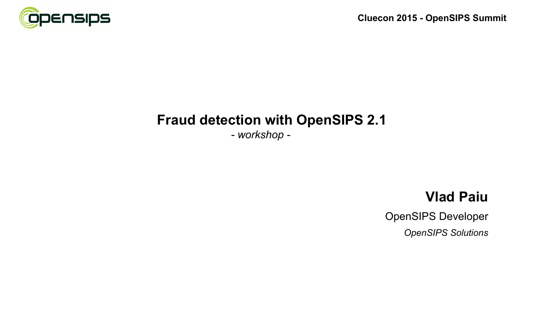

*- workshop -*

### **Vlad Paiu**

OpenSIPS Developer

*OpenSIPS Solutions*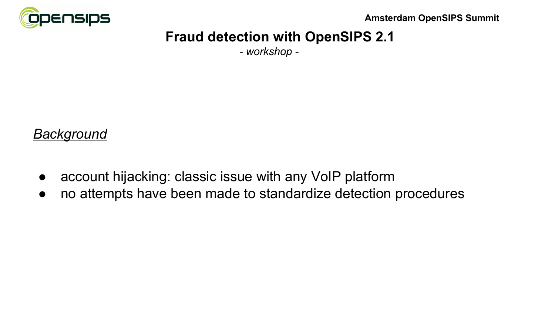

*- workshop -*

#### *Background*

- account hijacking: classic issue with any VoIP platform
- no attempts have been made to standardize detection procedures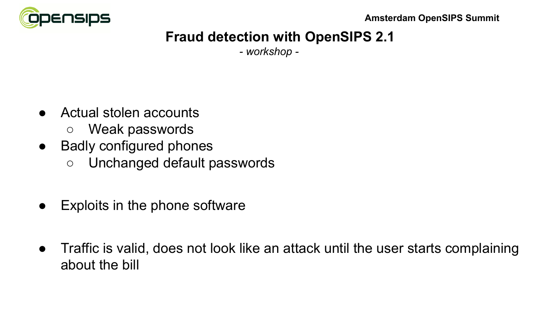

*- workshop -*

- Actual stolen accounts
	- Weak passwords
- Badly configured phones
	- Unchanged default passwords
- Exploits in the phone software
- Traffic is valid, does not look like an attack until the user starts complaining about the bill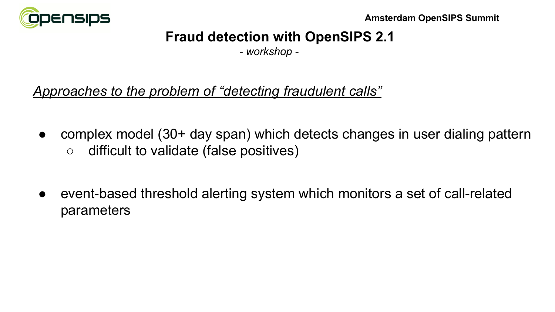

*- workshop -*

## *Approaches to the problem of "detecting fraudulent calls"*

- complex model (30+ day span) which detects changes in user dialing pattern ○ difficult to validate (false positives)
- event-based threshold alerting system which monitors a set of call-related parameters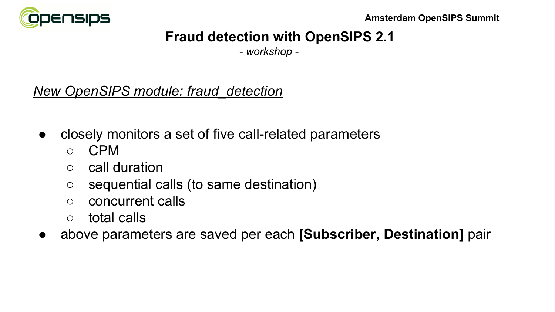

*- workshop -*

### *New OpenSIPS module: fraud\_detection*

- closely monitors a set of five call-related parameters
	- CPM
	- call duration
	- sequential calls (to same destination)
	- concurrent calls
	- total calls
- above parameters are saved per each **[Subscriber, Destination]** pair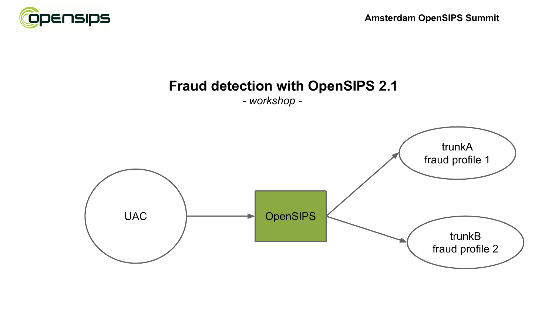

*- workshop -*

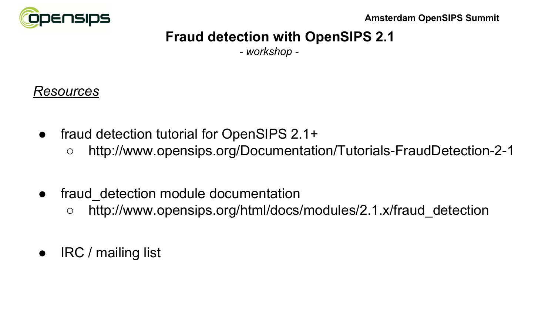

*- workshop -*

## *Resources*

- fraud detection tutorial for OpenSIPS 2.1+
	- http://www.opensips.org/Documentation/Tutorials-FraudDetection-2-1
- fraud detection module documentation
	- http://www.opensips.org/html/docs/modules/2.1.x/fraud detection
- IRC / mailing list